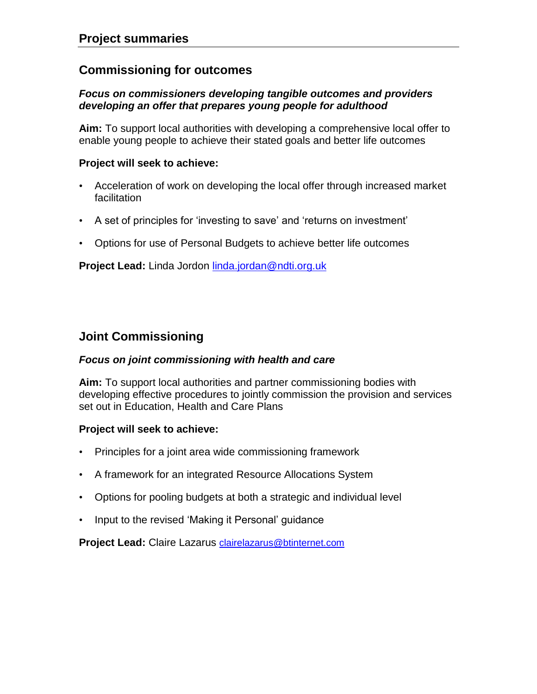# **Commissioning for outcomes**

## *Focus on commissioners developing tangible outcomes and providers developing an offer that prepares young people for adulthood*

**Aim:** To support local authorities with developing a comprehensive local offer to enable young people to achieve their stated goals and better life outcomes

### **Project will seek to achieve:**

- Acceleration of work on developing the local offer through increased market facilitation
- A set of principles for 'investing to save' and 'returns on investment'
- Options for use of Personal Budgets to achieve better life outcomes

**Project Lead:** Linda Jordon [linda.jordan@ndti.org.uk](mailto:linda.jordan@ndti.org.uk)

# **Joint Commissioning**

### *Focus on joint commissioning with health and care*

**Aim:** To support local authorities and partner commissioning bodies with developing effective procedures to jointly commission the provision and services set out in Education, Health and Care Plans

### **Project will seek to achieve:**

- Principles for a joint area wide commissioning framework
- A framework for an integrated Resource Allocations System
- Options for pooling budgets at both a strategic and individual level
- Input to the revised 'Making it Personal' guidance

**Project Lead:** Claire Lazarus [clairelazarus@btinternet.com](mailto:clairelazarus@btinternet.com)